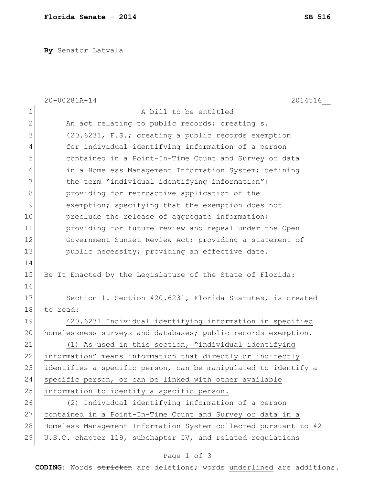**By** Senator Latvala

|                | 20-00281A-14<br>2014516                                         |
|----------------|-----------------------------------------------------------------|
| 1              | A bill to be entitled                                           |
| $\mathbf{2}$   | An act relating to public records; creating s.                  |
| 3              | 420.6231, F.S.; creating a public records exemption             |
| $\overline{4}$ | for individual identifying information of a person              |
| 5              | contained in a Point-In-Time Count and Survey or data           |
| 6              | in a Homeless Management Information System; defining           |
| 7              | the term "individual identifying information";                  |
| 8              | providing for retroactive application of the                    |
| $\mathcal{G}$  | exemption; specifying that the exemption does not               |
| 10             | preclude the release of aggregate information;                  |
| 11             | providing for future review and repeal under the Open           |
| 12             | Government Sunset Review Act; providing a statement of          |
| 13             | public necessity; providing an effective date.                  |
| 14             |                                                                 |
| 15             | Be It Enacted by the Legislature of the State of Florida:       |
| 16             |                                                                 |
| 17             | Section 1. Section 420.6231, Florida Statutes, is created       |
| 18             | to read:                                                        |
| 19             | 420.6231 Individual identifying information in specified        |
| 20             | homelessness surveys and databases; public records exemption.-  |
| 21             | (1) As used in this section, "individual identifying            |
| 22             | information" means information that directly or indirectly      |
| 23             | identifies a specific person, can be manipulated to identify a  |
| 24             | specific person, or can be linked with other available          |
| 25             | information to identify a specific person.                      |
| 26             | (2) Individual identifying information of a person              |
| 27             | contained in a Point-In-Time Count and Survey or data in a      |
| 28             | Homeless Management Information System collected pursuant to 42 |
| 29             | U.S.C. chapter 119, subchapter IV, and related regulations      |

## Page 1 of 3

**CODING**: Words stricken are deletions; words underlined are additions.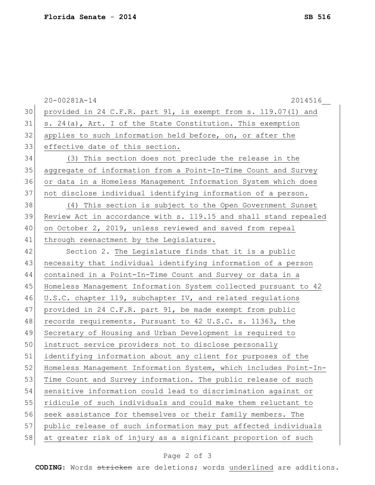|    | 20-00281A-14<br>2014516                                          |
|----|------------------------------------------------------------------|
| 30 | provided in 24 C.F.R. part 91, is exempt from s. 119.07(1) and   |
| 31 | s. 24(a), Art. I of the State Constitution. This exemption       |
| 32 | applies to such information held before, on, or after the        |
| 33 | effective date of this section.                                  |
| 34 | (3) This section does not preclude the release in the            |
| 35 | aggregate of information from a Point-In-Time Count and Survey   |
| 36 | or data in a Homeless Management Information System which does   |
| 37 | not disclose individual identifying information of a person.     |
| 38 | (4) This section is subject to the Open Government Sunset        |
| 39 | Review Act in accordance with s. 119.15 and shall stand repealed |
| 40 | on October 2, 2019, unless reviewed and saved from repeal        |
| 41 | through reenactment by the Legislature.                          |
| 42 | Section 2. The Legislature finds that it is a public             |
| 43 | necessity that individual identifying information of a person    |
| 44 | contained in a Point-In-Time Count and Survey or data in a       |
| 45 | Homeless Management Information System collected pursuant to 42  |
| 46 | U.S.C. chapter 119, subchapter IV, and related regulations       |
| 47 | provided in 24 C.F.R. part 91, be made exempt from public        |
| 48 | records requirements. Pursuant to 42 U.S.C. s. 11363, the        |
| 49 | Secretary of Housing and Urban Development is required to        |
| 50 | instruct service providers not to disclose personally            |
| 51 | identifying information about any client for purposes of the     |
| 52 | Homeless Management Information System, which includes Point-In- |
| 53 | Time Count and Survey information. The public release of such    |
| 54 | sensitive information could lead to discrimination against or    |
| 55 | ridicule of such individuals and could make them reluctant to    |
| 56 | seek assistance for themselves or their family members. The      |
| 57 | public release of such information may put affected individuals  |
| 58 | at greater risk of injury as a significant proportion of such    |

## Page 2 of 3

**CODING**: Words stricken are deletions; words underlined are additions.